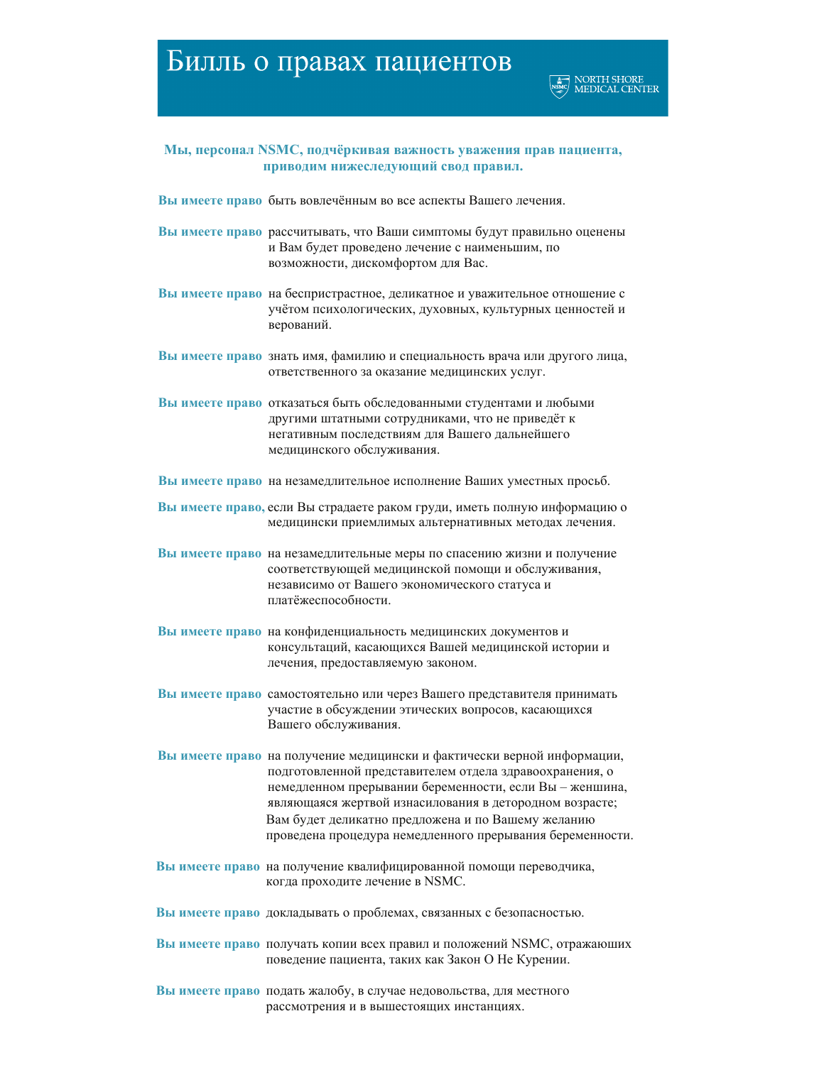## Билль о правах пациентов



## Мы, персонал NSMC, подчёркивая важность уважения прав пациента, приводим нижеследующий свод правил.

Вы имеете право быть вовлечённым во все аспекты Вашего лечения.

- Вы имеете право рассчитывать, что Ваши симптомы будут правильно оценены и Вам будет проведено лечение с наименьшим, по возможности, дискомфортом для Вас.
- Вы имеете право на беспристрастное, деликатное и уважительное отношение с учётом психологических, духовных, культурных ценностей и верований.
- Вы имеете право знать имя, фамилию и специальность врача или другого лица, ответственного за оказание медицинских услуг.
- Вы имеете право отказаться быть обследованными студентами и любыми другими штатными сотрудниками, что не приведёт к негативным последствиям для Вашего дальнейшего медицинского обслуживания.
- Вы имеете право на незамедлительное исполнение Ваших уместных просьб.
- Вы имеете право, если Вы страдаете раком груди, иметь полную информацию о медицински приемлимых альтернативных методах лечения.
- Вы имеете право на незамедлительные меры по спасению жизни и получение соответствующей медицинской помощи и обслуживания, независимо от Вашего экономического статуса и платёжеспособности.
- Вы имеете право на конфиденциальность медицинских документов и консультаций, касающихся Вашей медицинской истории и лечения, предоставляемую законом.
- Вы имеете право самостоятельно или через Вашего представителя принимать участие в обсуждении этических вопросов, касающихся Вашего обслуживания.
- Вы имеете право на получение медицински и фактически верной информации, подготовленной представителем отдела здравоохранения, о немедленном прерывании беременности, если Вы - женшина, являющаяся жертвой изнасилования в детородном возрасте; Вам будет деликатно предложена и по Вашему желанию проведена процедура немедленного прерывания беременности.
- Вы имеете право на получение квалифицированной помощи переводчика, когда проходите лечение в NSMC.
- Вы имеете право докладывать о проблемах, связанных с безопасностью.
- Вы имеете право получать копии всех правил и положений NSMC, отражающих поведение пациента, таких как Закон О Не Курении.
- Вы имеете право подать жалобу, в случае недовольства, для местного рассмотрения и в вышестоящих инстанциях.